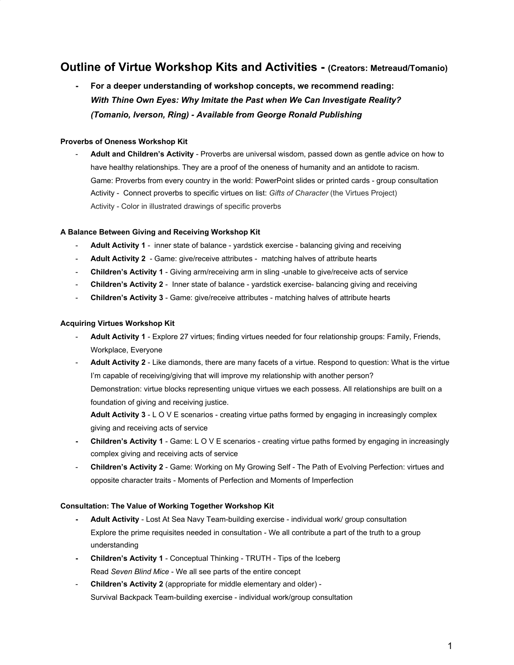# **Outline of Virtue Workshop Kits and Activities - (Creators: Metreaud/Tomanio)**

**- For a deeper understanding of workshop concepts, we recommend reading:** *With Thine Own Eyes: Why Imitate the Past when We Can Investigate Reality? (Tomanio, Iverson, Ring) - Available from George Ronald Publishing*

# **Proverbs of Oneness Workshop Kit**

- **Adult and Children's Activity** - Proverbs are universal wisdom, passed down as gentle advice on how to have healthy relationships. They are a proof of the oneness of humanity and an antidote to racism. Game: Proverbs from every country in the world: PowerPoint slides or printed cards - group consultation Activity - Connect proverbs to specific virtues on list: *Gifts of Character* (the Virtues Project) Activity - Color in illustrated drawings of specific proverbs

# **A Balance Between Giving and Receiving Workshop Kit**

- **Adult Activity 1** inner state of balance yardstick exercise balancing giving and receiving
- Adult Activity 2 Game: give/receive attributes matching halves of attribute hearts
- **Children's Activity 1** Giving arm/receiving arm in sling -unable to give/receive acts of service
- **Children's Activity 2** Inner state of balance yardstick exercise- balancing giving and receiving
- **Children's Activity 3** Game: give/receive attributes matching halves of attribute hearts

# **Acquiring Virtues Workshop Kit**

- Adult Activity 1 Explore 27 virtues; finding virtues needed for four relationship groups: Family, Friends, Workplace, Everyone
- Adult Activity 2 Like diamonds, there are many facets of a virtue. Respond to question: What is the virtue I'm capable of receiving/giving that will improve my relationship with another person? Demonstration: virtue blocks representing unique virtues we each possess. All relationships are built on a foundation of giving and receiving justice.

Adult Activity 3 - L O V E scenarios - creating virtue paths formed by engaging in increasingly complex giving and receiving acts of service

- **- Children's Activity 1** Game: L O V E scenarios creating virtue paths formed by engaging in increasingly complex giving and receiving acts of service
- **Children's Activity 2** Game: Working on My Growing Self The Path of Evolving Perfection: virtues and opposite character traits - Moments of Perfection and Moments of Imperfection

# **Consultation: The Value of Working Together Workshop Kit**

- **- Adult Activity**  Lost At Sea Navy Team-building exercise individual work/ group consultation Explore the prime requisites needed in consultation - We all contribute a part of the truth to a group understanding
- **- Children's Activity 1** Conceptual Thinking TRUTH Tips of the Iceberg Read *Seven Blind Mice* - We all see parts of the entire concept
- **Children's Activity 2** (appropriate for middle elementary and older) Survival Backpack Team-building exercise - individual work/group consultation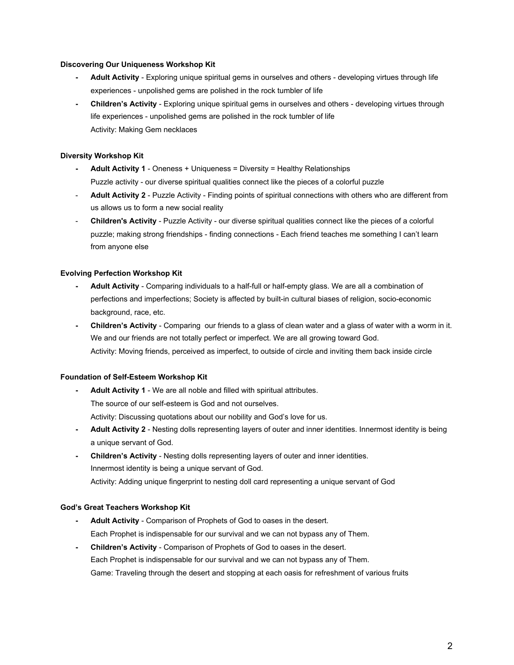# **Discovering Our Uniqueness Workshop Kit**

- **- Adult Activity**  Exploring unique spiritual gems in ourselves and others developing virtues through life experiences - unpolished gems are polished in the rock tumbler of life
- **- Children's Activity** Exploring unique spiritual gems in ourselves and others developing virtues through life experiences - unpolished gems are polished in the rock tumbler of life Activity: Making Gem necklaces

## **Diversity Workshop Kit**

- **- Adult Activity 1**  Oneness + Uniqueness = Diversity = Healthy Relationships Puzzle activity - our diverse spiritual qualities connect like the pieces of a colorful puzzle
- **Adult Activity 2**  Puzzle Activity Finding points of spiritual connections with others who are different from us allows us to form a new social reality
- **Children's Activity** Puzzle Activity our diverse spiritual qualities connect like the pieces of a colorful puzzle; making strong friendships - finding connections - Each friend teaches me something I can't learn from anyone else

# **Evolving Perfection Workshop Kit**

- **- Adult Activity**  Comparing individuals to a half-full or half-empty glass. We are all a combination of perfections and imperfections; Society is affected by built-in cultural biases of religion, socio-economic background, race, etc.
- **- Children's Activity** Comparing our friends to a glass of clean water and a glass of water with a worm in it. We and our friends are not totally perfect or imperfect. We are all growing toward God. Activity: Moving friends, perceived as imperfect, to outside of circle and inviting them back inside circle

#### **Foundation of Self-Esteem Workshop Kit**

- **- Adult Activity 1** We are all noble and filled with spiritual attributes. The source of our self-esteem is God and not ourselves. Activity: Discussing quotations about our nobility and God's love for us.
- **- Adult Activity 2**  Nesting dolls representing layers of outer and inner identities. Innermost identity is being a unique servant of God.
- **- Children's Activity**  Nesting dolls representing layers of outer and inner identities. Innermost identity is being a unique servant of God. Activity: Adding unique fingerprint to nesting doll card representing a unique servant of God

#### **God's Great Teachers Workshop Kit**

- **- Adult Activity** Comparison of Prophets of God to oases in the desert. Each Prophet is indispensable for our survival and we can not bypass any of Them.
- **- Children's Activity**  Comparison of Prophets of God to oases in the desert. Each Prophet is indispensable for our survival and we can not bypass any of Them. Game: Traveling through the desert and stopping at each oasis for refreshment of various fruits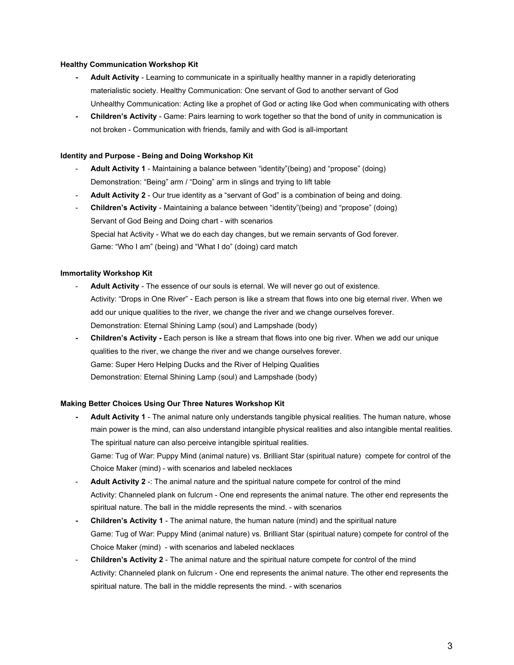## **Healthy Communication Workshop Kit**

- **- Adult Activity** Learning to communicate in a spiritually healthy manner in a rapidly deteriorating materialistic society. Healthy Communication: One servant of God to another servant of God Unhealthy Communication: Acting like a prophet of God or acting like God when communicating with others
- **- Children's Activity**  Game: Pairs learning to work together so that the bond of unity in communication is not broken - Communication with friends, family and with God is all-important

#### **Identity and Purpose - Being and Doing Workshop Kit**

- Adult Activity 1 Maintaining a balance between "identity"(being) and "propose" (doing) Demonstration: "Being" arm / "Doing" arm in slings and trying to lift table
- Adult Activity 2 Our true identity as a "servant of God" is a combination of being and doing.
- **Children's Activity** Maintaining a balance between "identity"(being) and "propose" (doing) Servant of God Being and Doing chart - with scenarios Special hat Activity - What we do each day changes, but we remain servants of God forever. Game: "Who I am" (being) and "What I do" (doing) card match

## **Immortality Workshop Kit**

- Adult Activity The essence of our souls is eternal. We will never go out of existence. Activity: "Drops in One River" - Each person is like a stream that flows into one big eternal river. When we add our unique qualities to the river, we change the river and we change ourselves forever. Demonstration: Eternal Shining Lamp (soul) and Lampshade (body)
- **- Children's Activity** Each person is like a stream that flows into one big river. When we add our unique qualities to the river, we change the river and we change ourselves forever. Game: Super Hero Helping Ducks and the River of Helping Qualities Demonstration: Eternal Shining Lamp (soul) and Lampshade (body)

#### **Making Better Choices Using Our Three Natures Workshop Kit**

- **- Adult Activity 1**  The animal nature only understands tangible physical realities. The human nature, whose main power is the mind, can also understand intangible physical realities and also intangible mental realities. The spiritual nature can also perceive intangible spiritual realities. Game: Tug of War: Puppy Mind (animal nature) vs. Brilliant Star (spiritual nature) compete for control of the Choice Maker (mind) - with scenarios and labeled necklaces
- Adult Activity 2 -: The animal nature and the spiritual nature compete for control of the mind Activity: Channeled plank on fulcrum - One end represents the animal nature. The other end represents the spiritual nature. The ball in the middle represents the mind. - with scenarios
- **- Children's Activity 1**  The animal nature, the human nature (mind) and the spiritual nature Game: Tug of War: Puppy Mind (animal nature) vs. Brilliant Star (spiritual nature) compete for control of the Choice Maker (mind) - with scenarios and labeled necklaces
- **Children's Activity 2**  The animal nature and the spiritual nature compete for control of the mind Activity: Channeled plank on fulcrum - One end represents the animal nature. The other end represents the spiritual nature. The ball in the middle represents the mind. - with scenarios